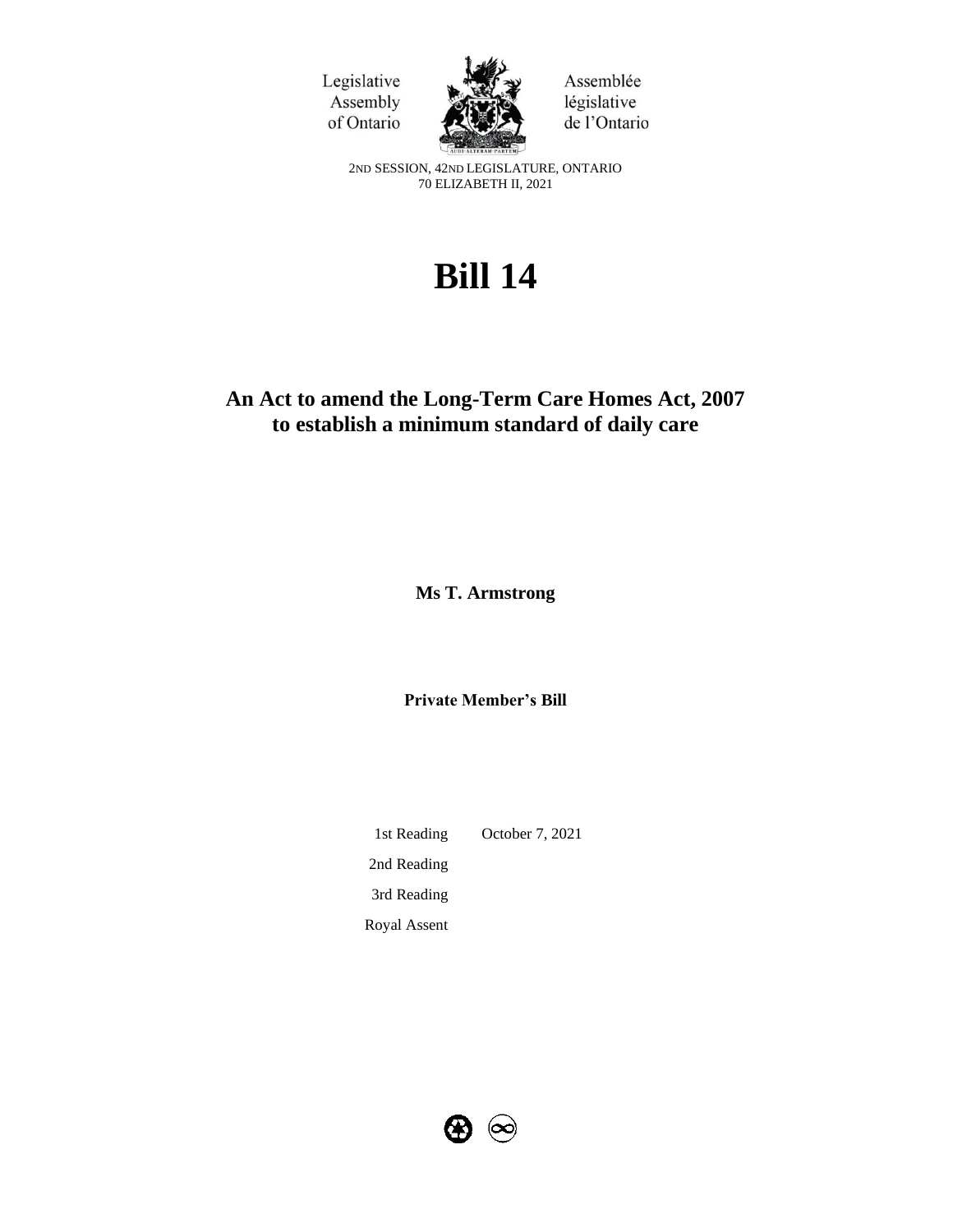



Assemblée législative de l'Ontario

2ND SESSION, 42ND LEGISLATURE, ONTARIO 70 ELIZABETH II, 2021

# **Bill 14**

# **An Act to amend the Long-Term Care Homes Act, 2007 to establish a minimum standard of daily care**

**Ms T. Armstrong**

**Private Member's Bill**

1st Reading October 7, 2021 2nd Reading 3rd Reading Royal Assent